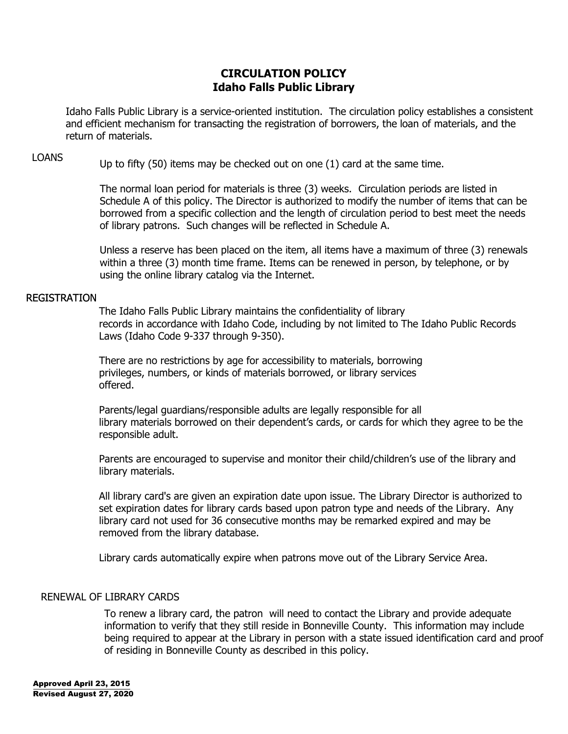# **CIRCULATION POLICY Idaho Falls Public Library**

Idaho Falls Public Library is a service-oriented institution. The circulation policy establishes a consistent and efficient mechanism for transacting the registration of borrowers, the loan of materials, and the return of materials.

LOANS Up to fifty (50) items may be checked out on one (1) card at the same time.

The normal loan period for materials is three (3) weeks. Circulation periods are listed in Schedule A of this policy. The Director is authorized to modify the number of items that can be borrowed from a specific collection and the length of circulation period to best meet the needs of library patrons. Such changes will be reflected in Schedule A.

Unless a reserve has been placed on the item, all items have a maximum of three (3) renewals within a three (3) month time frame. Items can be renewed in person, by telephone, or by using the online library catalog via the Internet.

#### REGISTRATION

The Idaho Falls Public Library maintains the confidentiality of library records in accordance with Idaho Code, including by not limited to The Idaho Public Records Laws (Idaho Code 9-337 through 9-350).

There are no restrictions by age for accessibility to materials, borrowing privileges, numbers, or kinds of materials borrowed, or library services offered.

Parents/legal guardians/responsible adults are legally responsible for all library materials borrowed on their dependent's cards, or cards for which they agree to be the responsible adult.

Parents are encouraged to supervise and monitor their child/children's use of the library and library materials.

All library card's are given an expiration date upon issue. The Library Director is authorized to set expiration dates for library cards based upon patron type and needs of the Library. Any library card not used for 36 consecutive months may be remarked expired and may be removed from the library database.

Library cards automatically expire when patrons move out of the Library Service Area.

#### RENEWAL OF LIBRARY CARDS

To renew a library card, the patron will need to contact the Library and provide adequate information to verify that they still reside in Bonneville County. This information may include being required to appear at the Library in person with a state issued identification card and proof of residing in Bonneville County as described in this policy.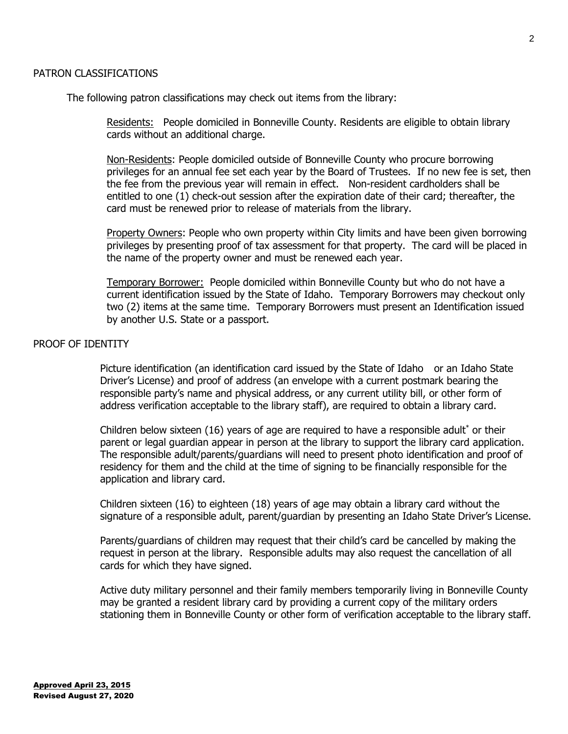2

## PATRON CLASSIFICATIONS

The following patron classifications may check out items from the library:

Residents: People domiciled in Bonneville County. Residents are eligible to obtain library cards without an additional charge.

Non-Residents: People domiciled outside of Bonneville County who procure borrowing privileges for an annual fee set each year by the Board of Trustees. If no new fee is set, then the fee from the previous year will remain in effect. Non-resident cardholders shall be entitled to one (1) check-out session after the expiration date of their card; thereafter, the card must be renewed prior to release of materials from the library.

Property Owners: People who own property within City limits and have been given borrowing privileges by presenting proof of tax assessment for that property. The card will be placed in the name of the property owner and must be renewed each year.

Temporary Borrower: People domiciled within Bonneville County but who do not have a current identification issued by the State of Idaho. Temporary Borrowers may checkout only two (2) items at the same time. Temporary Borrowers must present an Identification issued by another U.S. State or a passport.

## PROOF OF IDENTITY

Picture identification (an identification card issued by the State of Idaho or an Idaho State Driver's License) and proof of address (an envelope with a current postmark bearing the responsible party's name and physical address, or any current utility bill, or other form of address verification acceptable to the library staff), are required to obtain a library card.

Children below sixteen  $(16)$  years of age are required to have a responsible adult<sup>\*</sup> or their parent or legal guardian appear in person at the library to support the library card application. The responsible adult/parents/guardians will need to present photo identification and proof of residency for them and the child at the time of signing to be financially responsible for the application and library card.

Children sixteen (16) to eighteen (18) years of age may obtain a library card without the signature of a responsible adult, parent/guardian by presenting an Idaho State Driver's License.

Parents/guardians of children may request that their child's card be cancelled by making the request in person at the library. Responsible adults may also request the cancellation of all cards for which they have signed.

Active duty military personnel and their family members temporarily living in Bonneville County may be granted a resident library card by providing a current copy of the military orders stationing them in Bonneville County or other form of verification acceptable to the library staff.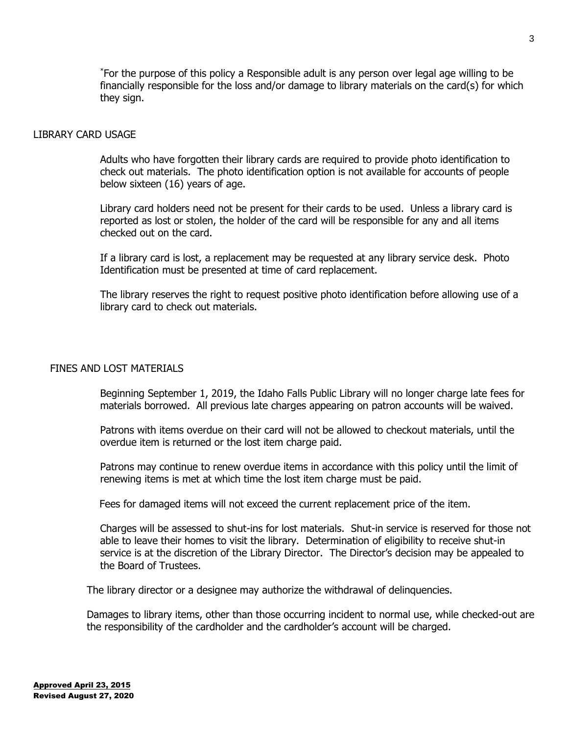\*For the purpose of this policy a Responsible adult is any person over legal age willing to be financially responsible for the loss and/or damage to library materials on the card(s) for which they sign.

#### LIBRARY CARD USAGE

Adults who have forgotten their library cards are required to provide photo identification to check out materials. The photo identification option is not available for accounts of people below sixteen (16) years of age.

Library card holders need not be present for their cards to be used. Unless a library card is reported as lost or stolen, the holder of the card will be responsible for any and all items checked out on the card.

If a library card is lost, a replacement may be requested at any library service desk. Photo Identification must be presented at time of card replacement.

The library reserves the right to request positive photo identification before allowing use of a library card to check out materials.

### FINES AND LOST MATERIALS

Beginning September 1, 2019, the Idaho Falls Public Library will no longer charge late fees for materials borrowed. All previous late charges appearing on patron accounts will be waived.

Patrons with items overdue on their card will not be allowed to checkout materials, until the overdue item is returned or the lost item charge paid.

Patrons may continue to renew overdue items in accordance with this policy until the limit of renewing items is met at which time the lost item charge must be paid.

Fees for damaged items will not exceed the current replacement price of the item.

Charges will be assessed to shut-ins for lost materials. Shut-in service is reserved for those not able to leave their homes to visit the library. Determination of eligibility to receive shut-in service is at the discretion of the Library Director. The Director's decision may be appealed to the Board of Trustees.

The library director or a designee may authorize the withdrawal of delinquencies.

Damages to library items, other than those occurring incident to normal use, while checked-out are the responsibility of the cardholder and the cardholder's account will be charged.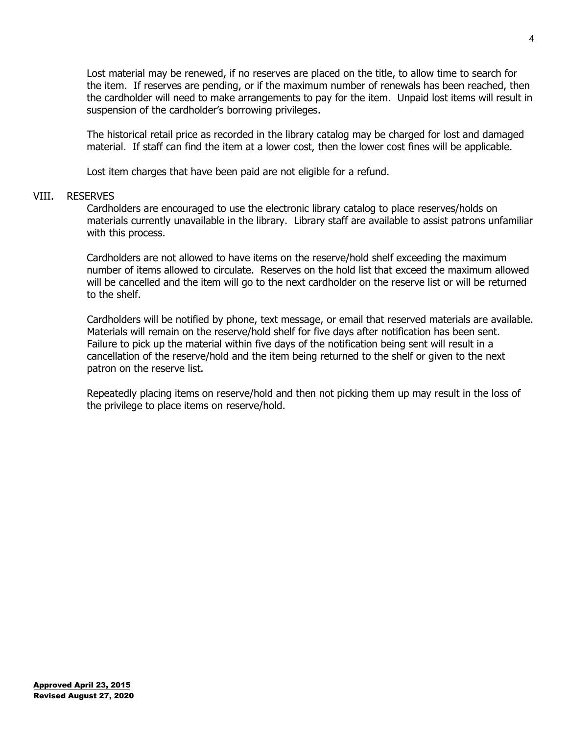Lost material may be renewed, if no reserves are placed on the title, to allow time to search for the item. If reserves are pending, or if the maximum number of renewals has been reached, then the cardholder will need to make arrangements to pay for the item. Unpaid lost items will result in suspension of the cardholder's borrowing privileges.

The historical retail price as recorded in the library catalog may be charged for lost and damaged material. If staff can find the item at a lower cost, then the lower cost fines will be applicable.

Lost item charges that have been paid are not eligible for a refund.

#### VIII. RESERVES

Cardholders are encouraged to use the electronic library catalog to place reserves/holds on materials currently unavailable in the library. Library staff are available to assist patrons unfamiliar with this process.

Cardholders are not allowed to have items on the reserve/hold shelf exceeding the maximum number of items allowed to circulate. Reserves on the hold list that exceed the maximum allowed will be cancelled and the item will go to the next cardholder on the reserve list or will be returned to the shelf.

Cardholders will be notified by phone, text message, or email that reserved materials are available. Materials will remain on the reserve/hold shelf for five days after notification has been sent. Failure to pick up the material within five days of the notification being sent will result in a cancellation of the reserve/hold and the item being returned to the shelf or given to the next patron on the reserve list.

Repeatedly placing items on reserve/hold and then not picking them up may result in the loss of the privilege to place items on reserve/hold.